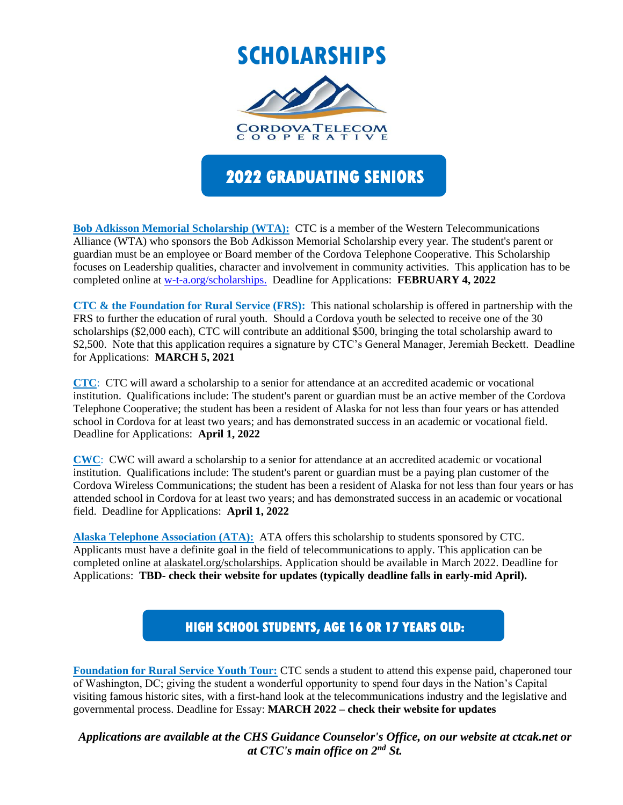**SCHOLARSHIPS**



# **2022 GRADUATING SENIORS**

**Bob Adkisson Memorial Scholarship (WTA):** CTC is a member of the Western Telecommunications Alliance (WTA) who sponsors the Bob Adkisson Memorial Scholarship every year. The student's parent or guardian must be an employee or Board member of the Cordova Telephone Cooperative. This Scholarship focuses on Leadership qualities, character and involvement in community activities. This application has to be completed online at [w-t-a.org/scholarships.](http://w-t-a.org/scholarships) Deadline for Applications: **FEBRUARY 4, 2022**

**CTC & the Foundation for Rural Service (FRS):** This national scholarship is offered in partnership with the FRS to further the education of rural youth. Should a Cordova youth be selected to receive one of the 30 scholarships (\$2,000 each), CTC will contribute an additional \$500, bringing the total scholarship award to \$2,500. Note that this application requires a signature by CTC's General Manager, Jeremiah Beckett. Deadline for Applications: **MARCH 5, 2021**

**CTC**: CTC will award a scholarship to a senior for attendance at an accredited academic or vocational institution. Qualifications include: The student's parent or guardian must be an active member of the Cordova Telephone Cooperative; the student has been a resident of Alaska for not less than four years or has attended school in Cordova for at least two years; and has demonstrated success in an academic or vocational field. Deadline for Applications: **April 1, 2022**

**CWC**: CWC will award a scholarship to a senior for attendance at an accredited academic or vocational institution. Qualifications include: The student's parent or guardian must be a paying plan customer of the Cordova Wireless Communications; the student has been a resident of Alaska for not less than four years or has attended school in Cordova for at least two years; and has demonstrated success in an academic or vocational field. Deadline for Applications: **April 1, 2022**

**Alaska Telephone Association (ATA):** ATA offers this scholarship to students sponsored by CTC. Applicants must have a definite goal in the field of telecommunications to apply. This application can be completed online at alaskatel.org/scholarships. Application should be available in March 2022. Deadline for Applications: **TBD- check their website for updates (typically deadline falls in early-mid April).**

## **HIGH SCHOOL STUDENTS, AGE 16 OR 17 YEARS OLD:**

**Foundation for Rural Service Youth Tour:** CTC sends a student to attend this expense paid, chaperoned tour of Washington, DC; giving the student a wonderful opportunity to spend four days in the Nation's Capital visiting famous historic sites, with a first-hand look at the telecommunications industry and the legislative and governmental process. Deadline for Essay: **MARCH 2022 – check their website for updates**

*Applications are available at the CHS Guidance Counselor's Office, on our website at ctcak.net or at CTC's main office on 2nd St.*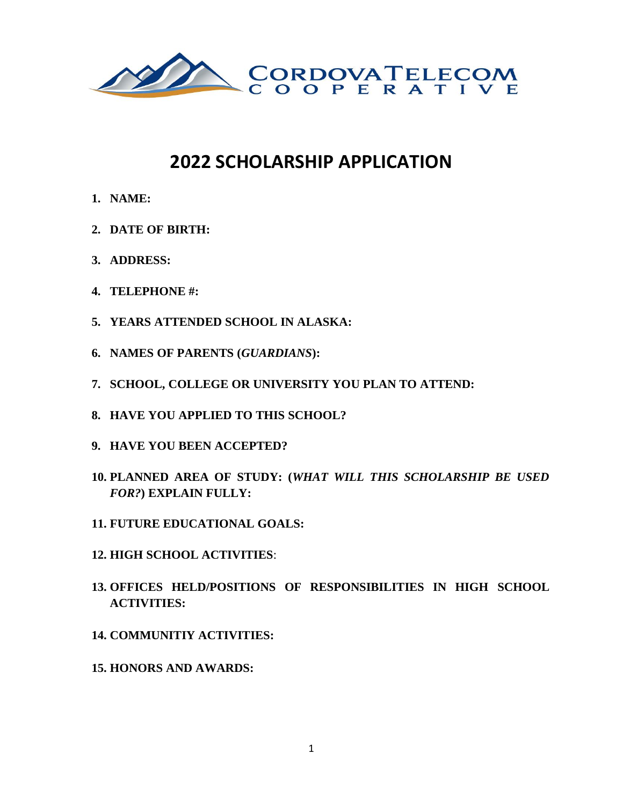

# **2022 SCHOLARSHIP APPLICATION**

- **1. NAME:**
- **2. DATE OF BIRTH:**
- **3. ADDRESS:**
- **4. TELEPHONE #:**
- **5. YEARS ATTENDED SCHOOL IN ALASKA:**
- **6. NAMES OF PARENTS (***GUARDIANS***):**
- **7. SCHOOL, COLLEGE OR UNIVERSITY YOU PLAN TO ATTEND:**
- **8. HAVE YOU APPLIED TO THIS SCHOOL?**
- **9. HAVE YOU BEEN ACCEPTED?**
- **10. PLANNED AREA OF STUDY: (***WHAT WILL THIS SCHOLARSHIP BE USED FOR?***) EXPLAIN FULLY:**
- **11. FUTURE EDUCATIONAL GOALS:**
- **12. HIGH SCHOOL ACTIVITIES**:
- **13. OFFICES HELD/POSITIONS OF RESPONSIBILITIES IN HIGH SCHOOL ACTIVITIES:**
- **14. COMMUNITIY ACTIVITIES:**
- **15. HONORS AND AWARDS:**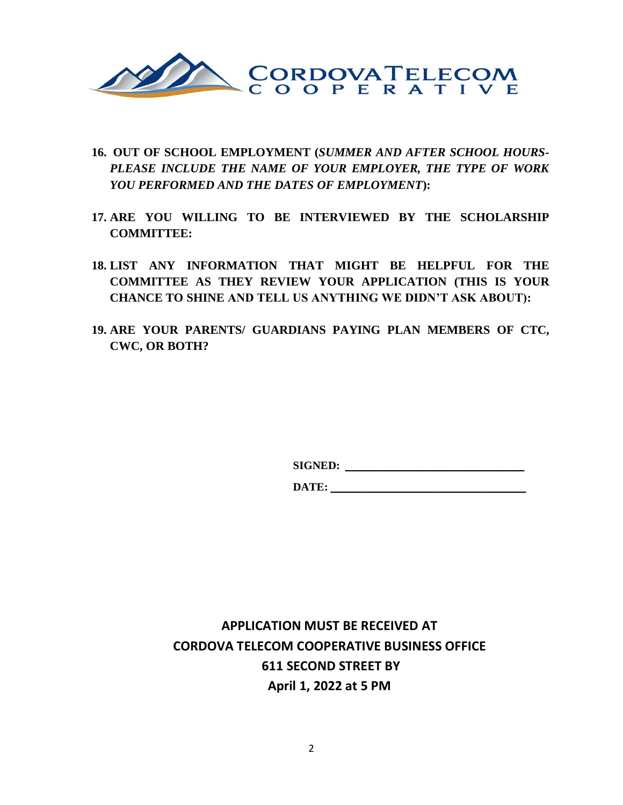

- **16. OUT OF SCHOOL EMPLOYMENT (***SUMMER AND AFTER SCHOOL HOURS-PLEASE INCLUDE THE NAME OF YOUR EMPLOYER, THE TYPE OF WORK YOU PERFORMED AND THE DATES OF EMPLOYMENT***):**
- **17. ARE YOU WILLING TO BE INTERVIEWED BY THE SCHOLARSHIP COMMITTEE:**
- **18. LIST ANY INFORMATION THAT MIGHT BE HELPFUL FOR THE COMMITTEE AS THEY REVIEW YOUR APPLICATION (THIS IS YOUR CHANCE TO SHINE AND TELL US ANYTHING WE DIDN'T ASK ABOUT):**
- **19. ARE YOUR PARENTS/ GUARDIANS PAYING PLAN MEMBERS OF CTC, CWC, OR BOTH?**

**SIGNED: \_\_\_\_\_\_\_\_\_\_\_\_\_\_\_\_\_\_\_\_\_\_**

**DATE: \_\_\_\_\_\_\_\_\_\_\_\_\_\_\_\_\_\_\_\_\_\_\_\_**

# **APPLICATION MUST BE RECEIVED AT CORDOVA TELECOM COOPERATIVE BUSINESS OFFICE 611 SECOND STREET BY April 1, 2022 at 5 PM**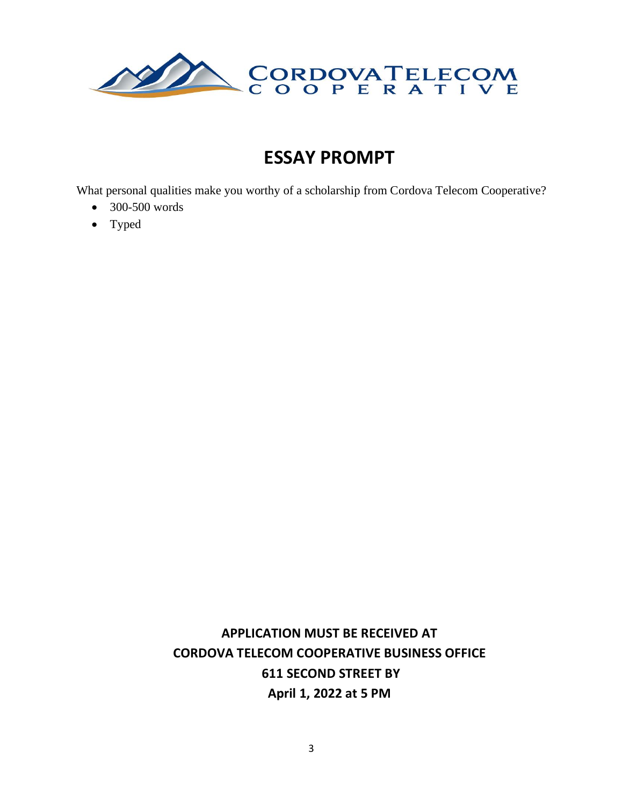

# **ESSAY PROMPT**

What personal qualities make you worthy of a scholarship from Cordova Telecom Cooperative?

- 300-500 words
- Typed

**APPLICATION MUST BE RECEIVED AT CORDOVA TELECOM COOPERATIVE BUSINESS OFFICE 611 SECOND STREET BY April 1, 2022 at 5 PM**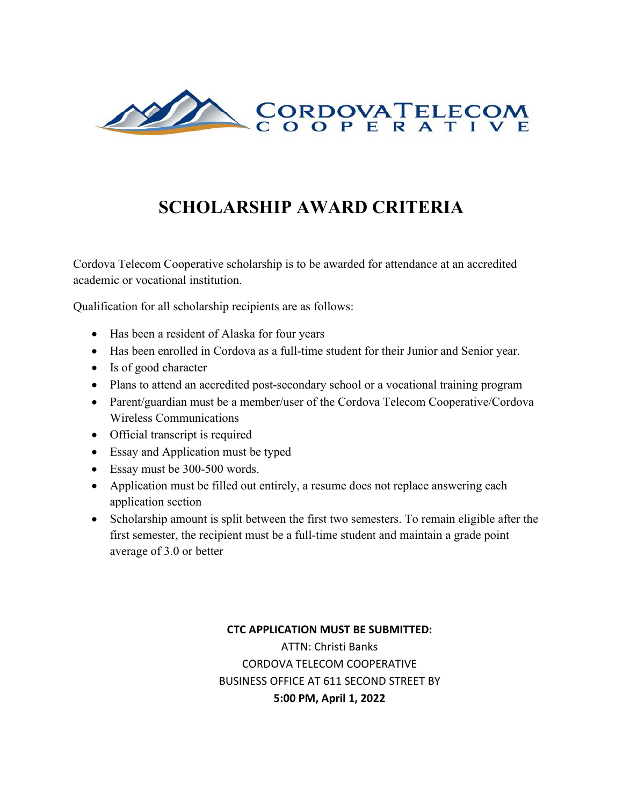

# **SCHOLARSHIP AWARD CRITERIA**

Cordova Telecom Cooperative scholarship is to be awarded for attendance at an accredited academic or vocational institution.

Qualification for all scholarship recipients are as follows:

- Has been a resident of Alaska for four years
- Has been enrolled in Cordova as a full-time student for their Junior and Senior year.
- Is of good character
- Plans to attend an accredited post-secondary school or a vocational training program
- Parent/guardian must be a member/user of the Cordova Telecom Cooperative/Cordova Wireless Communications
- Official transcript is required
- Essay and Application must be typed
- Essay must be 300-500 words.
- Application must be filled out entirely, a resume does not replace answering each application section
- Scholarship amount is split between the first two semesters. To remain eligible after the first semester, the recipient must be a full-time student and maintain a grade point average of 3.0 or better

### **CTC APPLICATION MUST BE SUBMITTED:**

ATTN: Christi Banks CORDOVA TELECOM COOPERATIVE BUSINESS OFFICE AT 611 SECOND STREET BY **5:00 PM, April 1, 2022**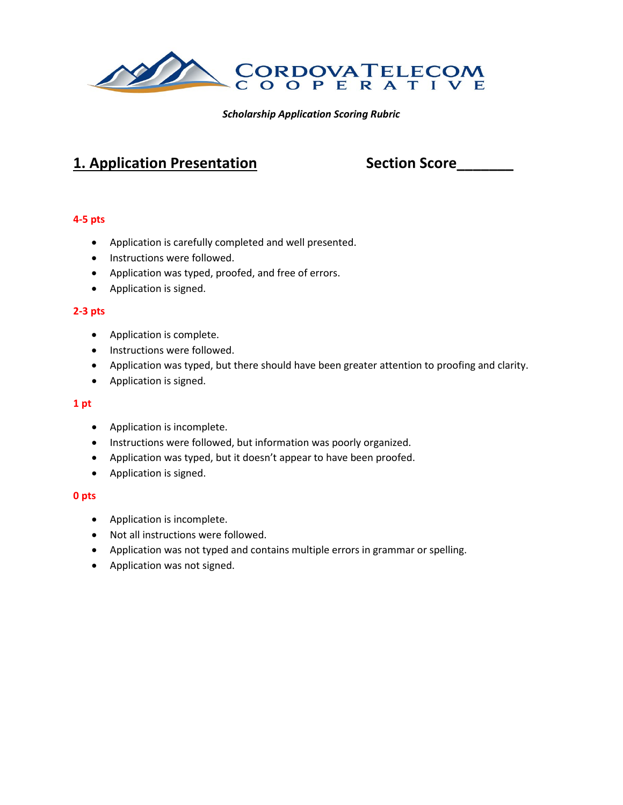

#### *Scholarship Application Scoring Rubric*

# 1. Application Presentation **Section Score**

### **4-5 pts**

- Application is carefully completed and well presented.
- Instructions were followed.
- Application was typed, proofed, and free of errors.
- Application is signed.

### **2-3 pts**

- Application is complete.
- Instructions were followed.
- Application was typed, but there should have been greater attention to proofing and clarity.
- Application is signed.

#### **1 pt**

- Application is incomplete.
- Instructions were followed, but information was poorly organized.
- Application was typed, but it doesn't appear to have been proofed.
- Application is signed.

#### **0 pts**

- Application is incomplete.
- Not all instructions were followed.
- Application was not typed and contains multiple errors in grammar or spelling.
- Application was not signed.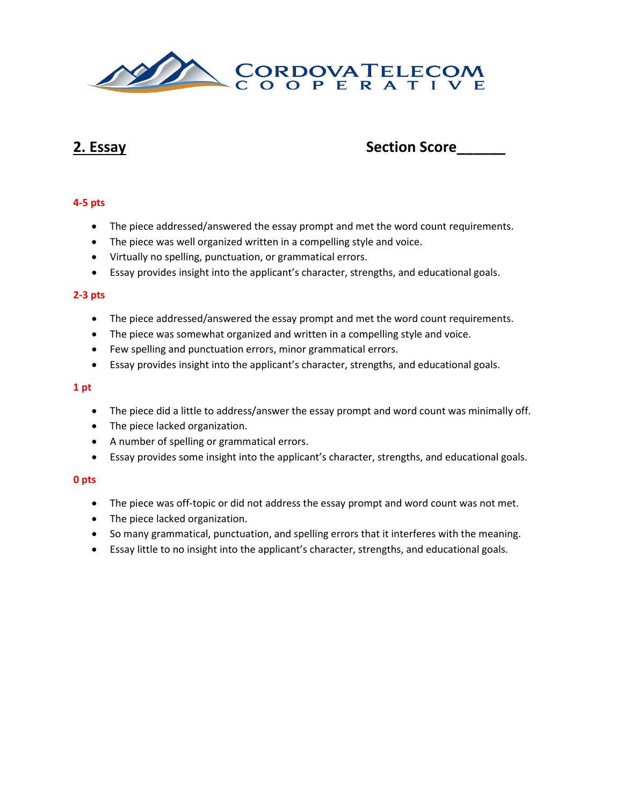

## **2. Essay Section Score**

### **4-5 pts**

- The piece addressed/answered the essay prompt and met the word count requirements.
- The piece was well organized written in a compelling style and voice.
- Virtually no spelling, punctuation, or grammatical errors.
- Essay provides insight into the applicant's character, strengths, and educational goals.

### **2-3 pts**

- The piece addressed/answered the essay prompt and met the word count requirements.
- The piece was somewhat organized and written in a compelling style and voice.
- Few spelling and punctuation errors, minor grammatical errors.
- Essay provides insight into the applicant's character, strengths, and educational goals.

#### **1 pt**

- The piece did a little to address/answer the essay prompt and word count was minimally off.
- The piece lacked organization.
- A number of spelling or grammatical errors.
- Essay provides some insight into the applicant's character, strengths, and educational goals.

#### **0 pts**

- The piece was off-topic or did not address the essay prompt and word count was not met.
- The piece lacked organization.
- So many grammatical, punctuation, and spelling errors that it interferes with the meaning.
- Essay little to no insight into the applicant's character, strengths, and educational goals.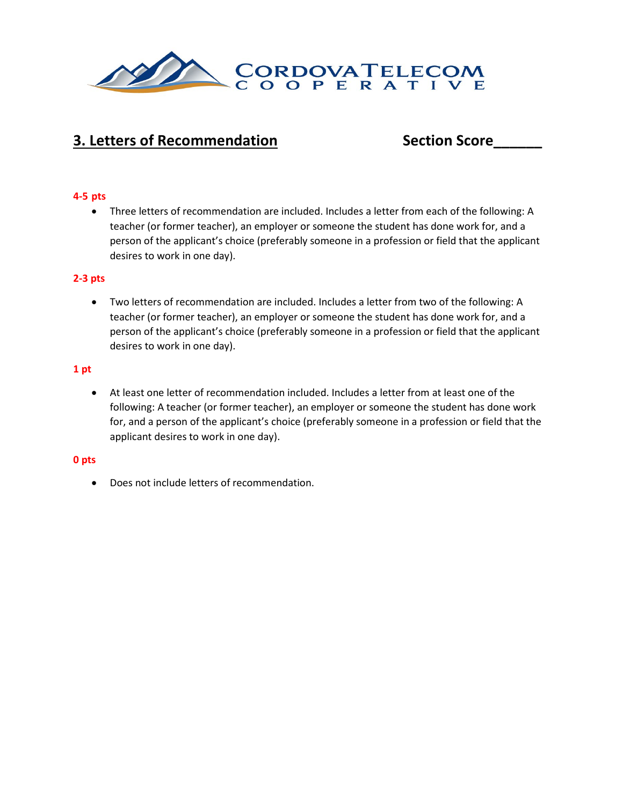

# **3. Letters of Recommendation Section Score**

#### **4-5 pts**

• Three letters of recommendation are included. Includes a letter from each of the following: A teacher (or former teacher), an employer or someone the student has done work for, and a person of the applicant's choice (preferably someone in a profession or field that the applicant desires to work in one day).

#### **2-3 pts**

• Two letters of recommendation are included. Includes a letter from two of the following: A teacher (or former teacher), an employer or someone the student has done work for, and a person of the applicant's choice (preferably someone in a profession or field that the applicant desires to work in one day).

### **1 pt**

• At least one letter of recommendation included. Includes a letter from at least one of the following: A teacher (or former teacher), an employer or someone the student has done work for, and a person of the applicant's choice (preferably someone in a profession or field that the applicant desires to work in one day).

#### **0 pts**

• Does not include letters of recommendation.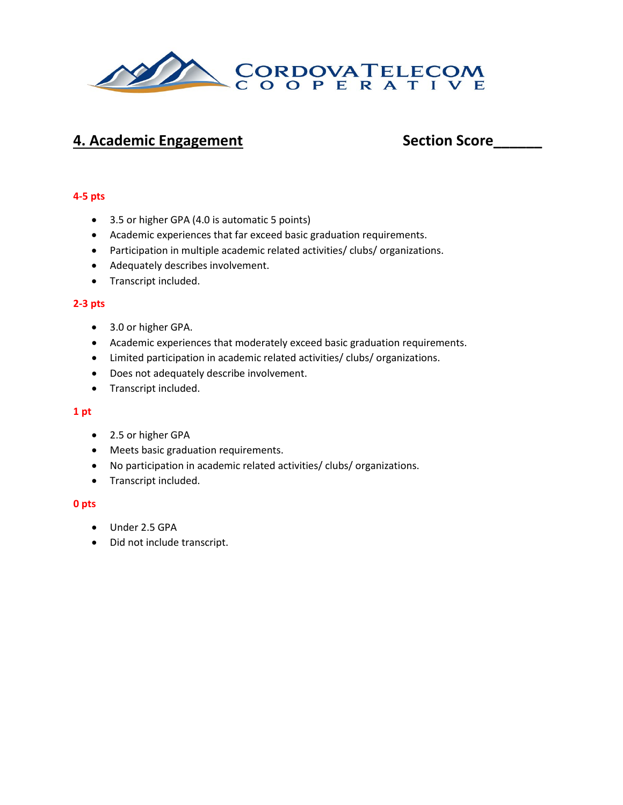

# **4. Academic Engagement Section Score**

### **4-5 pts**

- 3.5 or higher GPA (4.0 is automatic 5 points)
- Academic experiences that far exceed basic graduation requirements.
- Participation in multiple academic related activities/ clubs/ organizations.
- Adequately describes involvement.
- Transcript included.

#### **2-3 pts**

- 3.0 or higher GPA.
- Academic experiences that moderately exceed basic graduation requirements.
- Limited participation in academic related activities/ clubs/ organizations.
- Does not adequately describe involvement.
- Transcript included.

#### **1 pt**

- 2.5 or higher GPA
- Meets basic graduation requirements.
- No participation in academic related activities/ clubs/ organizations.
- Transcript included.

#### **0 pts**

- Under 2.5 GPA
- Did not include transcript.